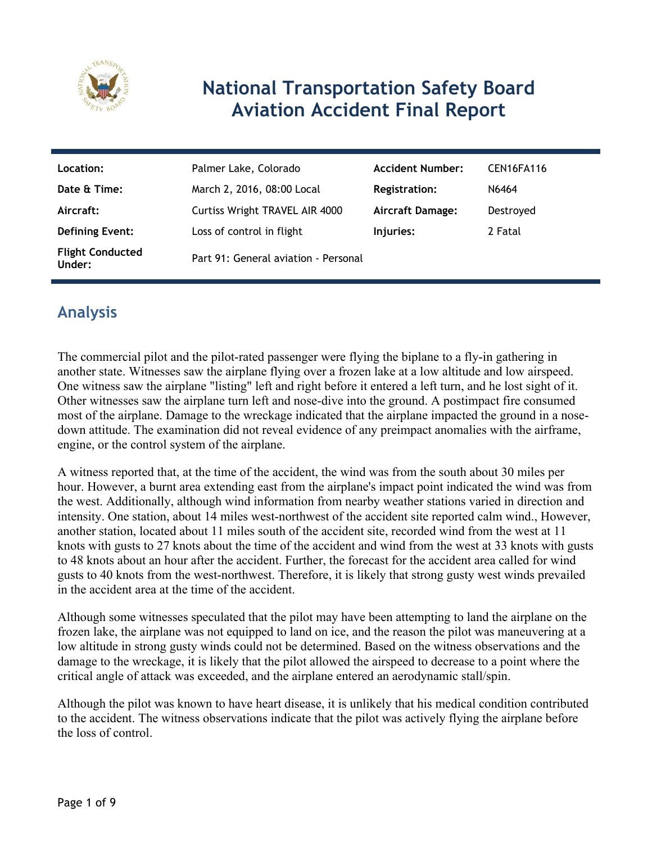

# **National Transportation Safety Board Aviation Accident Final Report**

| Location:                         | Palmer Lake, Colorado                | <b>Accident Number:</b> | CEN16FA116 |
|-----------------------------------|--------------------------------------|-------------------------|------------|
| Date & Time:                      | March 2, 2016, 08:00 Local           | <b>Registration:</b>    | N6464      |
| Aircraft:                         | Curtiss Wright TRAVEL AIR 4000       | <b>Aircraft Damage:</b> | Destroyed  |
| <b>Defining Event:</b>            | Loss of control in flight            | Injuries:               | 2 Fatal    |
| <b>Flight Conducted</b><br>Under: | Part 91: General aviation - Personal |                         |            |

# **Analysis**

The commercial pilot and the pilot-rated passenger were flying the biplane to a fly-in gathering in another state. Witnesses saw the airplane flying over a frozen lake at a low altitude and low airspeed. One witness saw the airplane "listing" left and right before it entered a left turn, and he lost sight of it. Other witnesses saw the airplane turn left and nose-dive into the ground. A postimpact fire consumed most of the airplane. Damage to the wreckage indicated that the airplane impacted the ground in a nosedown attitude. The examination did not reveal evidence of any preimpact anomalies with the airframe, engine, or the control system of the airplane.

A witness reported that, at the time of the accident, the wind was from the south about 30 miles per hour. However, a burnt area extending east from the airplane's impact point indicated the wind was from the west. Additionally, although wind information from nearby weather stations varied in direction and intensity. One station, about 14 miles west-northwest of the accident site reported calm wind., However, another station, located about 11 miles south of the accident site, recorded wind from the west at 11 knots with gusts to 27 knots about the time of the accident and wind from the west at 33 knots with gusts to 48 knots about an hour after the accident. Further, the forecast for the accident area called for wind gusts to 40 knots from the west-northwest. Therefore, it is likely that strong gusty west winds prevailed in the accident area at the time of the accident.

Although some witnesses speculated that the pilot may have been attempting to land the airplane on the frozen lake, the airplane was not equipped to land on ice, and the reason the pilot was maneuvering at a low altitude in strong gusty winds could not be determined. Based on the witness observations and the damage to the wreckage, it is likely that the pilot allowed the airspeed to decrease to a point where the critical angle of attack was exceeded, and the airplane entered an aerodynamic stall/spin.

Although the pilot was known to have heart disease, it is unlikely that his medical condition contributed to the accident. The witness observations indicate that the pilot was actively flying the airplane before the loss of control.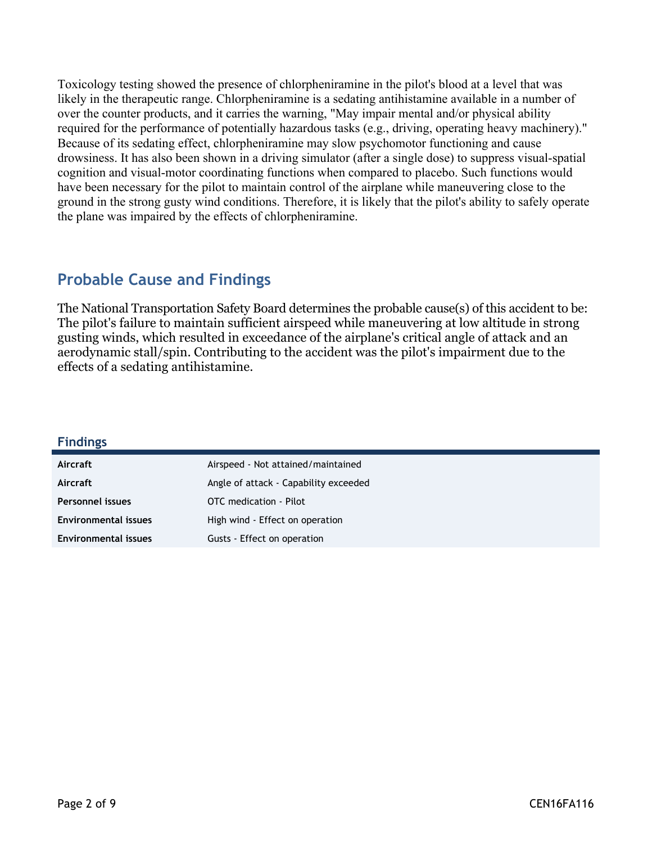Toxicology testing showed the presence of chlorpheniramine in the pilot's blood at a level that was likely in the therapeutic range. Chlorpheniramine is a sedating antihistamine available in a number of over the counter products, and it carries the warning, "May impair mental and/or physical ability required for the performance of potentially hazardous tasks (e.g., driving, operating heavy machinery)." Because of its sedating effect, chlorpheniramine may slow psychomotor functioning and cause drowsiness. It has also been shown in a driving simulator (after a single dose) to suppress visual-spatial cognition and visual-motor coordinating functions when compared to placebo. Such functions would have been necessary for the pilot to maintain control of the airplane while maneuvering close to the ground in the strong gusty wind conditions. Therefore, it is likely that the pilot's ability to safely operate the plane was impaired by the effects of chlorpheniramine.

## **Probable Cause and Findings**

The National Transportation Safety Board determines the probable cause(s) of this accident to be: The pilot's failure to maintain sufficient airspeed while maneuvering at low altitude in strong gusting winds, which resulted in exceedance of the airplane's critical angle of attack and an aerodynamic stall/spin. Contributing to the accident was the pilot's impairment due to the effects of a sedating antihistamine.

| <b>Findings</b>             |                                       |
|-----------------------------|---------------------------------------|
| Aircraft                    | Airspeed - Not attained/maintained    |
| Aircraft                    | Angle of attack - Capability exceeded |
| <b>Personnel issues</b>     | OTC medication - Pilot                |
| <b>Environmental issues</b> | High wind - Effect on operation       |
| <b>Environmental issues</b> | Gusts - Effect on operation           |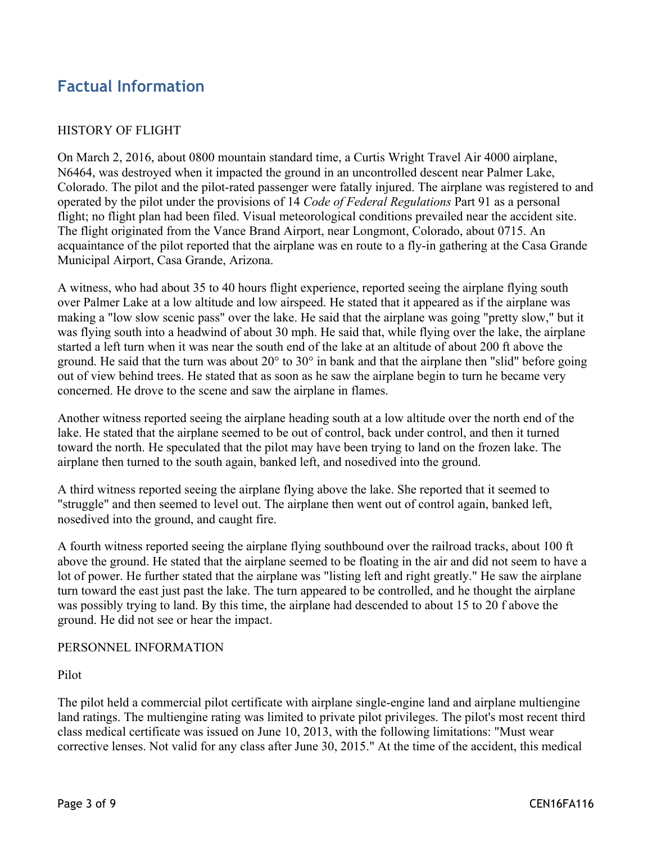## **Factual Information**

### HISTORY OF FLIGHT

On March 2, 2016, about 0800 mountain standard time, a Curtis Wright Travel Air 4000 airplane, N6464, was destroyed when it impacted the ground in an uncontrolled descent near Palmer Lake, Colorado. The pilot and the pilot-rated passenger were fatally injured. The airplane was registered to and operated by the pilot under the provisions of 14 *Code of Federal Regulations* Part 91 as a personal flight; no flight plan had been filed. Visual meteorological conditions prevailed near the accident site. The flight originated from the Vance Brand Airport, near Longmont, Colorado, about 0715. An acquaintance of the pilot reported that the airplane was en route to a fly-in gathering at the Casa Grande Municipal Airport, Casa Grande, Arizona.

A witness, who had about 35 to 40 hours flight experience, reported seeing the airplane flying south over Palmer Lake at a low altitude and low airspeed. He stated that it appeared as if the airplane was making a "low slow scenic pass" over the lake. He said that the airplane was going "pretty slow," but it was flying south into a headwind of about 30 mph. He said that, while flying over the lake, the airplane started a left turn when it was near the south end of the lake at an altitude of about 200 ft above the ground. He said that the turn was about  $20^{\circ}$  to  $30^{\circ}$  in bank and that the airplane then "slid" before going out of view behind trees. He stated that as soon as he saw the airplane begin to turn he became very concerned. He drove to the scene and saw the airplane in flames.

Another witness reported seeing the airplane heading south at a low altitude over the north end of the lake. He stated that the airplane seemed to be out of control, back under control, and then it turned toward the north. He speculated that the pilot may have been trying to land on the frozen lake. The airplane then turned to the south again, banked left, and nosedived into the ground.

A third witness reported seeing the airplane flying above the lake. She reported that it seemed to "struggle" and then seemed to level out. The airplane then went out of control again, banked left, nosedived into the ground, and caught fire.

A fourth witness reported seeing the airplane flying southbound over the railroad tracks, about 100 ft above the ground. He stated that the airplane seemed to be floating in the air and did not seem to have a lot of power. He further stated that the airplane was "listing left and right greatly." He saw the airplane turn toward the east just past the lake. The turn appeared to be controlled, and he thought the airplane was possibly trying to land. By this time, the airplane had descended to about 15 to 20 f above the ground. He did not see or hear the impact.

#### PERSONNEL INFORMATION

#### Pilot

The pilot held a commercial pilot certificate with airplane single-engine land and airplane multiengine land ratings. The multiengine rating was limited to private pilot privileges. The pilot's most recent third class medical certificate was issued on June 10, 2013, with the following limitations: "Must wear corrective lenses. Not valid for any class after June 30, 2015." At the time of the accident, this medical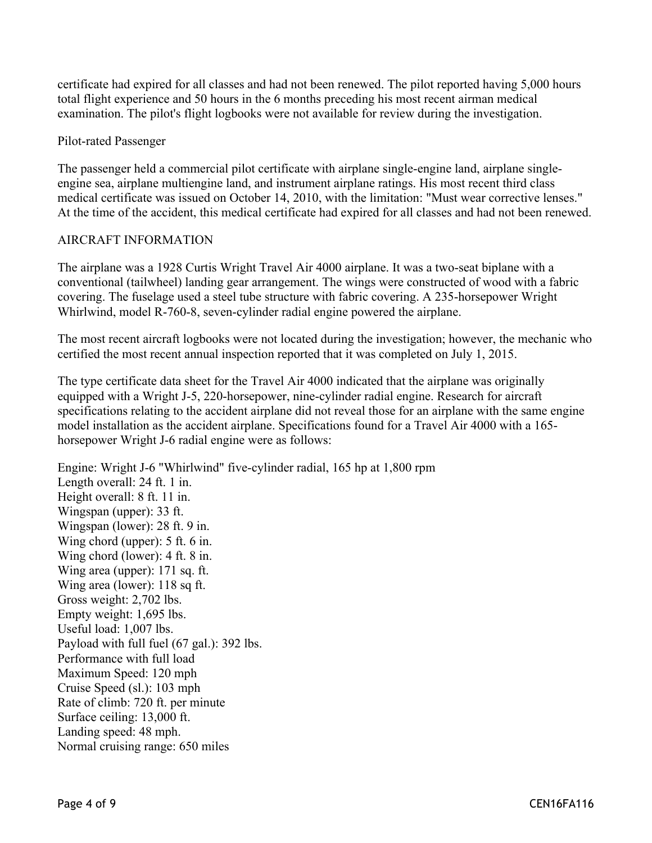certificate had expired for all classes and had not been renewed. The pilot reported having 5,000 hours total flight experience and 50 hours in the 6 months preceding his most recent airman medical examination. The pilot's flight logbooks were not available for review during the investigation.

#### Pilot-rated Passenger

The passenger held a commercial pilot certificate with airplane single-engine land, airplane singleengine sea, airplane multiengine land, and instrument airplane ratings. His most recent third class medical certificate was issued on October 14, 2010, with the limitation: "Must wear corrective lenses." At the time of the accident, this medical certificate had expired for all classes and had not been renewed.

#### AIRCRAFT INFORMATION

The airplane was a 1928 Curtis Wright Travel Air 4000 airplane. It was a two-seat biplane with a conventional (tailwheel) landing gear arrangement. The wings were constructed of wood with a fabric covering. The fuselage used a steel tube structure with fabric covering. A 235-horsepower Wright Whirlwind, model R-760-8, seven-cylinder radial engine powered the airplane.

The most recent aircraft logbooks were not located during the investigation; however, the mechanic who certified the most recent annual inspection reported that it was completed on July 1, 2015.

The type certificate data sheet for the Travel Air 4000 indicated that the airplane was originally equipped with a Wright J-5, 220-horsepower, nine-cylinder radial engine. Research for aircraft specifications relating to the accident airplane did not reveal those for an airplane with the same engine model installation as the accident airplane. Specifications found for a Travel Air 4000 with a 165 horsepower Wright J-6 radial engine were as follows:

Engine: Wright J-6 "Whirlwind" five-cylinder radial, 165 hp at 1,800 rpm Length overall: 24 ft. 1 in. Height overall: 8 ft. 11 in. Wingspan (upper): 33 ft. Wingspan (lower): 28 ft. 9 in. Wing chord (upper): 5 ft. 6 in. Wing chord (lower): 4 ft. 8 in. Wing area (upper): 171 sq. ft. Wing area (lower): 118 sq ft. Gross weight: 2,702 lbs. Empty weight: 1,695 lbs. Useful load: 1,007 lbs. Payload with full fuel (67 gal.): 392 lbs. Performance with full load Maximum Speed: 120 mph Cruise Speed (sl.): 103 mph Rate of climb: 720 ft. per minute Surface ceiling: 13,000 ft. Landing speed: 48 mph.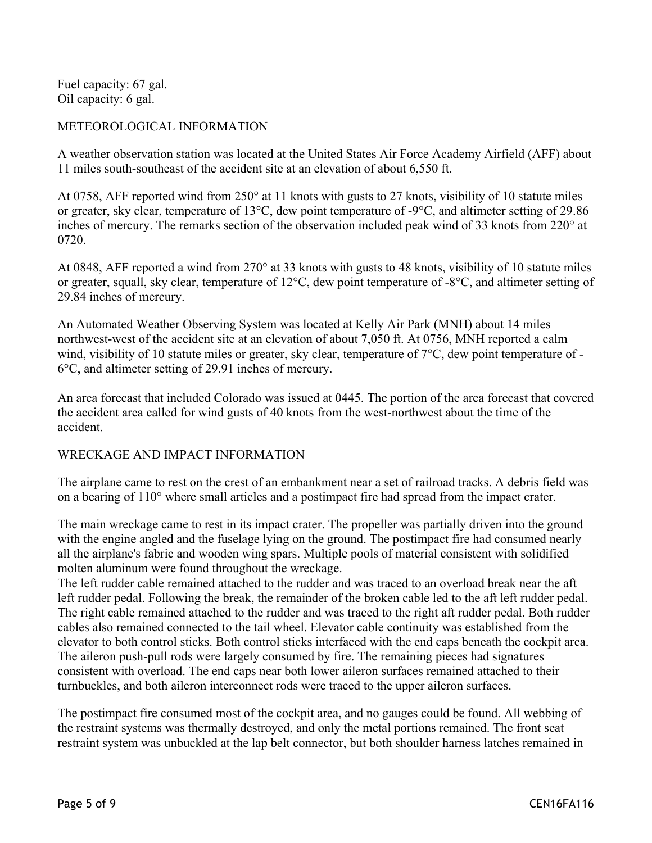Fuel capacity: 67 gal. Oil capacity: 6 gal.

### METEOROLOGICAL INFORMATION

A weather observation station was located at the United States Air Force Academy Airfield (AFF) about 11 miles south-southeast of the accident site at an elevation of about 6,550 ft.

At 0758, AFF reported wind from 250° at 11 knots with gusts to 27 knots, visibility of 10 statute miles or greater, sky clear, temperature of 13°C, dew point temperature of -9°C, and altimeter setting of 29.86 inches of mercury. The remarks section of the observation included peak wind of 33 knots from 220° at 0720.

At 0848, AFF reported a wind from 270° at 33 knots with gusts to 48 knots, visibility of 10 statute miles or greater, squall, sky clear, temperature of 12°C, dew point temperature of -8°C, and altimeter setting of 29.84 inches of mercury.

An Automated Weather Observing System was located at Kelly Air Park (MNH) about 14 miles northwest-west of the accident site at an elevation of about 7,050 ft. At 0756, MNH reported a calm wind, visibility of 10 statute miles or greater, sky clear, temperature of  $7^{\circ}$ C, dew point temperature of -6°C, and altimeter setting of 29.91 inches of mercury.

An area forecast that included Colorado was issued at 0445. The portion of the area forecast that covered the accident area called for wind gusts of 40 knots from the west-northwest about the time of the accident.

#### WRECKAGE AND IMPACT INFORMATION

The airplane came to rest on the crest of an embankment near a set of railroad tracks. A debris field was on a bearing of 110° where small articles and a postimpact fire had spread from the impact crater.

The main wreckage came to rest in its impact crater. The propeller was partially driven into the ground with the engine angled and the fuselage lying on the ground. The postimpact fire had consumed nearly all the airplane's fabric and wooden wing spars. Multiple pools of material consistent with solidified molten aluminum were found throughout the wreckage.

The left rudder cable remained attached to the rudder and was traced to an overload break near the aft left rudder pedal. Following the break, the remainder of the broken cable led to the aft left rudder pedal. The right cable remained attached to the rudder and was traced to the right aft rudder pedal. Both rudder cables also remained connected to the tail wheel. Elevator cable continuity was established from the elevator to both control sticks. Both control sticks interfaced with the end caps beneath the cockpit area. The aileron push-pull rods were largely consumed by fire. The remaining pieces had signatures consistent with overload. The end caps near both lower aileron surfaces remained attached to their turnbuckles, and both aileron interconnect rods were traced to the upper aileron surfaces.

The postimpact fire consumed most of the cockpit area, and no gauges could be found. All webbing of the restraint systems was thermally destroyed, and only the metal portions remained. The front seat restraint system was unbuckled at the lap belt connector, but both shoulder harness latches remained in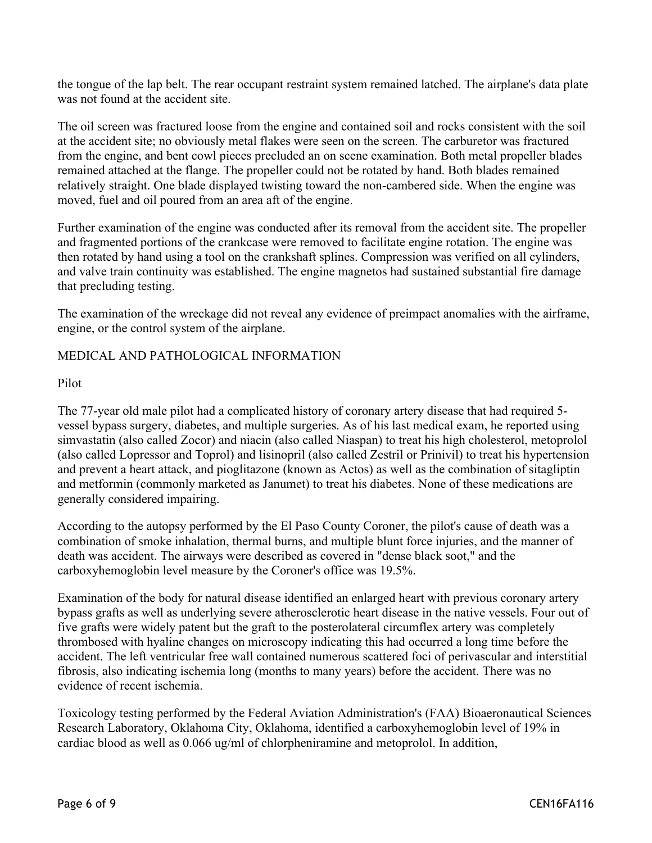the tongue of the lap belt. The rear occupant restraint system remained latched. The airplane's data plate was not found at the accident site.

The oil screen was fractured loose from the engine and contained soil and rocks consistent with the soil at the accident site; no obviously metal flakes were seen on the screen. The carburetor was fractured from the engine, and bent cowl pieces precluded an on scene examination. Both metal propeller blades remained attached at the flange. The propeller could not be rotated by hand. Both blades remained relatively straight. One blade displayed twisting toward the non-cambered side. When the engine was moved, fuel and oil poured from an area aft of the engine.

Further examination of the engine was conducted after its removal from the accident site. The propeller and fragmented portions of the crankcase were removed to facilitate engine rotation. The engine was then rotated by hand using a tool on the crankshaft splines. Compression was verified on all cylinders, and valve train continuity was established. The engine magnetos had sustained substantial fire damage that precluding testing.

The examination of the wreckage did not reveal any evidence of preimpact anomalies with the airframe, engine, or the control system of the airplane.

#### MEDICAL AND PATHOLOGICAL INFORMATION

Pilot

The 77-year old male pilot had a complicated history of coronary artery disease that had required 5 vessel bypass surgery, diabetes, and multiple surgeries. As of his last medical exam, he reported using simvastatin (also called Zocor) and niacin (also called Niaspan) to treat his high cholesterol, metoprolol (also called Lopressor and Toprol) and lisinopril (also called Zestril or Prinivil) to treat his hypertension and prevent a heart attack, and pioglitazone (known as Actos) as well as the combination of sitagliptin and metformin (commonly marketed as Janumet) to treat his diabetes. None of these medications are generally considered impairing.

According to the autopsy performed by the El Paso County Coroner, the pilot's cause of death was a combination of smoke inhalation, thermal burns, and multiple blunt force injuries, and the manner of death was accident. The airways were described as covered in "dense black soot," and the carboxyhemoglobin level measure by the Coroner's office was 19.5%.

Examination of the body for natural disease identified an enlarged heart with previous coronary artery bypass grafts as well as underlying severe atherosclerotic heart disease in the native vessels. Four out of five grafts were widely patent but the graft to the posterolateral circumflex artery was completely thrombosed with hyaline changes on microscopy indicating this had occurred a long time before the accident. The left ventricular free wall contained numerous scattered foci of perivascular and interstitial fibrosis, also indicating ischemia long (months to many years) before the accident. There was no evidence of recent ischemia.

Toxicology testing performed by the Federal Aviation Administration's (FAA) Bioaeronautical Sciences Research Laboratory, Oklahoma City, Oklahoma, identified a carboxyhemoglobin level of 19% in cardiac blood as well as 0.066 ug/ml of chlorpheniramine and metoprolol. In addition,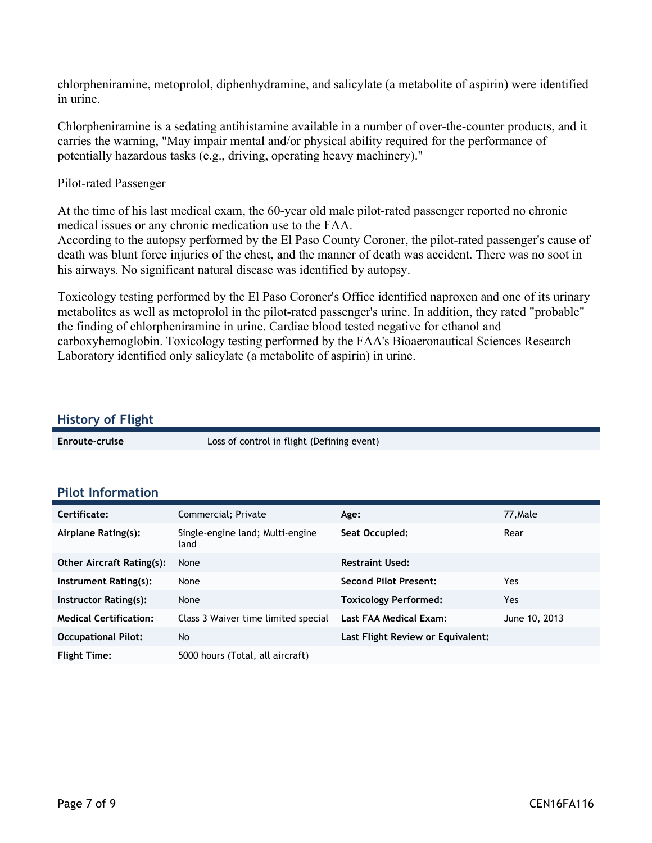chlorpheniramine, metoprolol, diphenhydramine, and salicylate (a metabolite of aspirin) were identified in urine.

Chlorpheniramine is a sedating antihistamine available in a number of over-the-counter products, and it carries the warning, "May impair mental and/or physical ability required for the performance of potentially hazardous tasks (e.g., driving, operating heavy machinery)."

#### Pilot-rated Passenger

At the time of his last medical exam, the 60-year old male pilot-rated passenger reported no chronic medical issues or any chronic medication use to the FAA.

According to the autopsy performed by the El Paso County Coroner, the pilot-rated passenger's cause of death was blunt force injuries of the chest, and the manner of death was accident. There was no soot in his airways. No significant natural disease was identified by autopsy.

Toxicology testing performed by the El Paso Coroner's Office identified naproxen and one of its urinary metabolites as well as metoprolol in the pilot-rated passenger's urine. In addition, they rated "probable" the finding of chlorpheniramine in urine. Cardiac blood tested negative for ethanol and carboxyhemoglobin. Toxicology testing performed by the FAA's Bioaeronautical Sciences Research Laboratory identified only salicylate (a metabolite of aspirin) in urine.

#### **History of Flight**

**Enroute-cruise** Loss of control in flight (Defining event)

**Pilot Information** 

| Certificate:                     | Commercial; Private                      | Age:                              | 77, Male      |
|----------------------------------|------------------------------------------|-----------------------------------|---------------|
| Airplane Rating(s):              | Single-engine land; Multi-engine<br>land | Seat Occupied:                    | Rear          |
| <b>Other Aircraft Rating(s):</b> | None                                     | <b>Restraint Used:</b>            |               |
| Instrument Rating(s):            | None                                     | <b>Second Pilot Present:</b>      | Yes           |
| Instructor Rating(s):            | None                                     | <b>Toxicology Performed:</b>      | Yes           |
| <b>Medical Certification:</b>    | Class 3 Waiver time limited special      | Last FAA Medical Exam:            | June 10, 2013 |
| <b>Occupational Pilot:</b>       | No                                       | Last Flight Review or Equivalent: |               |
| <b>Flight Time:</b>              | 5000 hours (Total, all aircraft)         |                                   |               |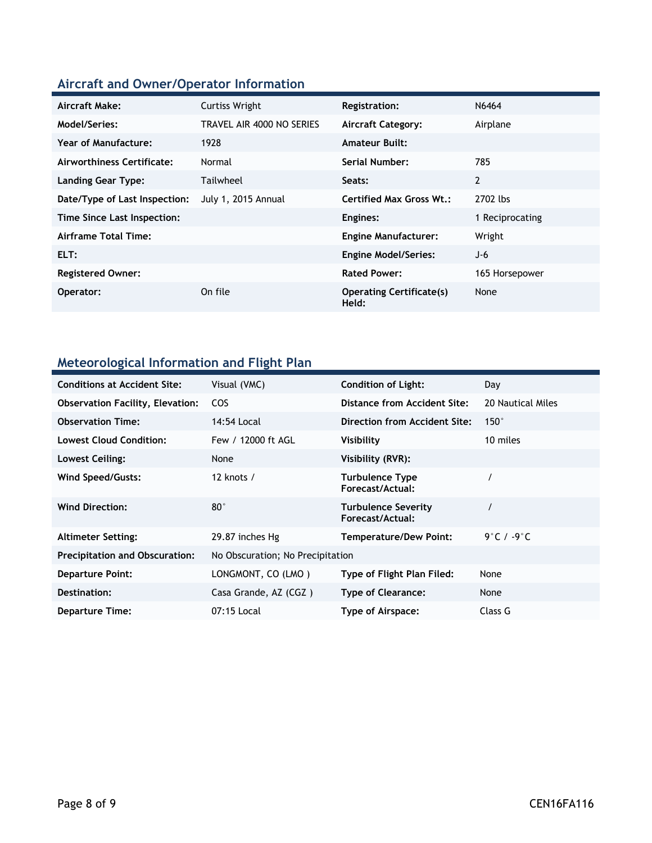# **Aircraft and Owner/Operator Information**

| Aircraft Make:                | <b>Curtiss Wright</b>     | <b>Registration:</b>                     | N6464           |
|-------------------------------|---------------------------|------------------------------------------|-----------------|
| Model/Series:                 | TRAVEL AIR 4000 NO SERIES | <b>Aircraft Category:</b>                | Airplane        |
| <b>Year of Manufacture:</b>   | 1928                      | <b>Amateur Built:</b>                    |                 |
| Airworthiness Certificate:    | Normal                    | Serial Number:                           | 785             |
| <b>Landing Gear Type:</b>     | Tailwheel                 | Seats:                                   | 2               |
| Date/Type of Last Inspection: | July 1, 2015 Annual       | <b>Certified Max Gross Wt.:</b>          | 2702 lbs        |
| Time Since Last Inspection:   |                           | Engines:                                 | 1 Reciprocating |
| Airframe Total Time:          |                           | <b>Engine Manufacturer:</b>              | Wright          |
| ELT:                          |                           | <b>Engine Model/Series:</b>              | J-6             |
| <b>Registered Owner:</b>      |                           | <b>Rated Power:</b>                      | 165 Horsepower  |
| Operator:                     | On file                   | <b>Operating Certificate(s)</b><br>Held: | None            |

# **Meteorological Information and Flight Plan**

| <b>Conditions at Accident Site:</b>     | Visual (VMC)                     | <b>Condition of Light:</b>                     | Day                   |
|-----------------------------------------|----------------------------------|------------------------------------------------|-----------------------|
| <b>Observation Facility, Elevation:</b> | <b>COS</b>                       | Distance from Accident Site:                   | 20 Nautical Miles     |
| <b>Observation Time:</b>                | 14:54 Local                      | Direction from Accident Site:                  | $150^\circ$           |
| <b>Lowest Cloud Condition:</b>          | Few / 12000 ft AGL               | Visibility                                     | 10 miles              |
| Lowest Ceiling:                         | None                             | Visibility (RVR):                              |                       |
| Wind Speed/Gusts:                       | 12 knots $/$                     | Turbulence Type<br>Forecast/Actual:            |                       |
| <b>Wind Direction:</b>                  | $80^{\circ}$                     | <b>Turbulence Severity</b><br>Forecast/Actual: |                       |
| <b>Altimeter Setting:</b>               | 29.87 inches Hg                  | <b>Temperature/Dew Point:</b>                  | 9°C / -9 $^{\circ}$ C |
| <b>Precipitation and Obscuration:</b>   | No Obscuration; No Precipitation |                                                |                       |
| <b>Departure Point:</b>                 | LONGMONT, CO (LMO)               | Type of Flight Plan Filed:                     | None                  |
| Destination:                            | Casa Grande, AZ (CGZ)            | <b>Type of Clearance:</b>                      | None                  |
| <b>Departure Time:</b>                  | 07:15 Local                      | Type of Airspace:                              | Class G               |